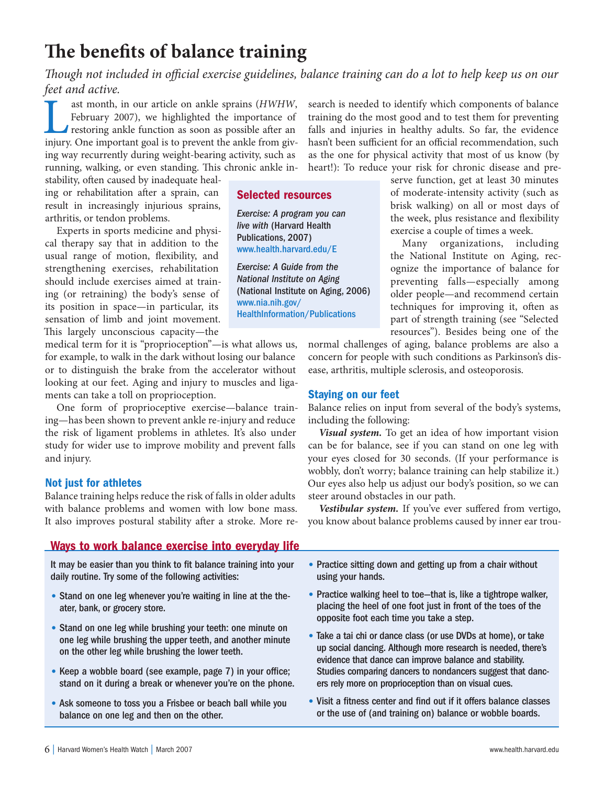# **The benefits of balance training**

*Though not included in official exercise guidelines, balance training can do a lot to help keep us on our feet and active.* 

ast month, in our article on ankle sprains (*HWHW*, February 2007), we highlighted the importance of restoring ankle function as soon as possible after an injury. One important goal is to prevent the ankle from giv-February 2007), we highlighted the importance of restoring ankle function as soon as possible after an injury. One important goal is to prevent the ankle from giving way recurrently during weight-bearing activity, such as running, walking, or even standing. This chronic ankle in-

stability, often caused by inadequate healing or rehabilitation after a sprain, can result in increasingly injurious sprains, arthritis, or tendon problems.

Experts in sports medicine and physical therapy say that in addition to the usual range of motion, flexibility, and strengthening exercises, rehabilitation should include exercises aimed at training (or retraining) the body's sense of its position in space—in particular, its sensation of limb and joint movement. This largely unconscious capacity-the

medical term for it is "proprioception"—is what allows us, for example, to walk in the dark without losing our balance or to distinguish the brake from the accelerator without looking at our feet. Aging and injury to muscles and ligaments can take a toll on proprioception.

One form of proprioceptive exercise—balance training—has been shown to prevent ankle re-injury and reduce the risk of ligament problems in athletes. It's also under study for wider use to improve mobility and prevent falls and injury.

## **Not just for athletes**

Balance training helps reduce the risk of falls in older adults with balance problems and women with low bone mass. It also improves postural stability after a stroke. More re-

## **Ways to work balance exercise into everyday life**

It may be easier than you think to fit balance training into your daily routine. Try some of the following activities:

- *•* Stand on one leg whenever you're waiting in line at the theater, bank, or grocery store.
- *•* Stand on one leg while brushing your teeth: one minute on one leg while brushing the upper teeth, and another minute on the other leg while brushing the lower teeth.
- Keep a wobble board (see example, page 7) in your office; stand on it during a break or whenever you're on the phone.
- *•* Ask someone to toss you a Frisbee or beach ball while you balance on one leg and then on the other.

search is needed to identify which components of balance training do the most good and to test them for preventing falls and injuries in healthy adults. So far, the evidence hasn't been sufficient for an official recommendation, such as the one for physical activity that most of us know (by heart!): To reduce your risk for chronic disease and pre-

## **Selected resources**

Exercise: A program you can live with (Harvard Health Publications, 2007) www.health.harvard.edu/E

Exercise: A Guide from the National Institute on Aging (National Institute on Aging, 2006) www.nia.nih.gov/ HealthInformation/Publications

serve function, get at least 30 minutes of moderate-intensity activity (such as brisk walking) on all or most days of the week, plus resistance and flexibility exercise a couple of times a week.

Many organizations, including the National Institute on Aging, recognize the importance of balance for preventing falls—especially among older people—and recommend certain techniques for improving it, often as part of strength training (see "Selected resources"). Besides being one of the

normal challenges of aging, balance problems are also a concern for people with such conditions as Parkinson's disease, arthritis, multiple sclerosis, and osteoporosis.

### **Staying on our feet**

Balance relies on input from several of the body's systems, including the following:

*Visual system.* To get an idea of how important vision can be for balance, see if you can stand on one leg with your eyes closed for 30 seconds. (If your performance is wobbly, don't worry; balance training can help stabilize it.) Our eyes also help us adjust our body's position, so we can steer around obstacles in our path.

Vestibular system. If you've ever suffered from vertigo, you know about balance problems caused by inner ear trou-

- *•* Practice sitting down and getting up from a chair without using your hands.
- *•* Practice walking heel to toe—that is, like a tightrope walker, placing the heel of one foot just in front of the toes of the opposite foot each time you take a step.
- *•* Take a tai chi or dance class (or use DVDs at home), or take up social dancing. Although more research is needed, there's evidence that dance can improve balance and stability. Studies comparing dancers to nondancers suggest that dancers rely more on proprioception than on visual cues.
- Visit a fitness center and find out if it offers balance classes or the use of (and training on) balance or wobble boards.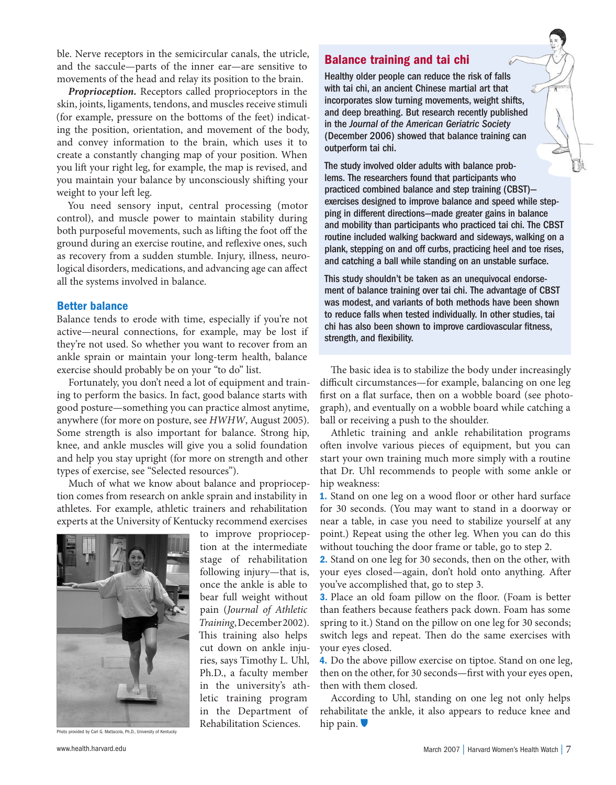ble. Nerve receptors in the semicircular canals, the utricle, and the saccule—parts of the inner ear—are sensitive to movements of the head and relay its position to the brain.

*Proprioception.* Receptors called proprioceptors in the skin, joints, ligaments, tendons, and muscles receive stimuli (for example, pressure on the bottoms of the feet) indicating the position, orientation, and movement of the body, and convey information to the brain, which uses it to create a constantly changing map of your position. When you lift your right leg, for example, the map is revised, and you maintain your balance by unconsciously shifting your weight to your left leg.

You need sensory input, central processing (motor control), and muscle power to maintain stability during both purposeful movements, such as lifting the foot off the ground during an exercise routine, and reflexive ones, such as recovery from a sudden stumble. Injury, illness, neurological disorders, medications, and advancing age can affect all the systems involved in balance.

#### **Better balance**

Balance tends to erode with time, especially if you're not active—neural connections, for example, may be lost if they're not used. So whether you want to recover from an ankle sprain or maintain your long-term health, balance exercise should probably be on your "to do" list.

Fortunately, you don't need a lot of equipment and training to perform the basics. In fact, good balance starts with good posture—something you can practice almost anytime, anywhere (for more on posture, see *HWHW*, August 2005). Some strength is also important for balance. Strong hip, knee, and ankle muscles will give you a solid foundation and help you stay upright (for more on strength and other types of exercise, see "Selected resources").

Much of what we know about balance and proprioception comes from research on ankle sprain and instability in athletes. For example, athletic trainers and rehabilitation experts at the University of Kentucky recommend exercises



Photo provided by Carl G. Mattacola, Ph.D., University of Kentucky

to improve proprioception at the intermediate stage of rehabilitation following injury—that is, once the ankle is able to bear full weight without pain (*Journal of Athletic Training*, December 2002). This training also helps cut down on ankle injuries, says Timothy L. Uhl, Ph.D., a faculty member in the university's athletic training program in the Department of Rehabilitation Sciences.

#### **Balance training and tai chi**

Healthy older people can reduce the risk of falls with tai chi, an ancient Chinese martial art that incorporates slow turning movements, weight shifts, and deep breathing. But research recently published in the Journal of the American Geriatric Society (December 2006) showed that balance training can outperform tai chi.

The study involved older adults with balance problems. The researchers found that participants who practiced combined balance and step training (CBST) exercises designed to improve balance and speed while stepping in different directions—made greater gains in balance and mobility than participants who practiced tai chi. The CBST routine included walking backward and sideways, walking on a plank, stepping on and off curbs, practicing heel and toe rises, and catching a ball while standing on an unstable surface.

This study shouldn't be taken as an unequivocal endorsement of balance training over tai chi. The advantage of CBST was modest, and variants of both methods have been shown to reduce falls when tested individually. In other studies, tai chi has also been shown to improve cardiovascular fitness, strength, and flexibility.

The basic idea is to stabilize the body under increasingly difficult circumstances—for example, balancing on one leg first on a flat surface, then on a wobble board (see photograph), and eventually on a wobble board while catching a ball or receiving a push to the shoulder.

Athletic training and ankle rehabilitation programs often involve various pieces of equipment, but you can start your own training much more simply with a routine that Dr. Uhl recommends to people with some ankle or hip weakness:

**1.** Stand on one leg on a wood floor or other hard surface for 30 seconds. (You may want to stand in a doorway or near a table, in case you need to stabilize yourself at any point.) Repeat using the other leg. When you can do this without touching the door frame or table, go to step 2.

**2.** Stand on one leg for 30 seconds, then on the other, with your eyes closed—again, don't hold onto anything. After you've accomplished that, go to step 3.

**3.** Place an old foam pillow on the floor. (Foam is better than feathers because feathers pack down. Foam has some spring to it.) Stand on the pillow on one leg for 30 seconds; switch legs and repeat. Then do the same exercises with your eyes closed.

**4.** Do the above pillow exercise on tiptoe. Stand on one leg, then on the other, for 30 seconds—first with your eyes open, then with them closed.

According to Uhl, standing on one leg not only helps rehabilitate the ankle, it also appears to reduce knee and hip pain.